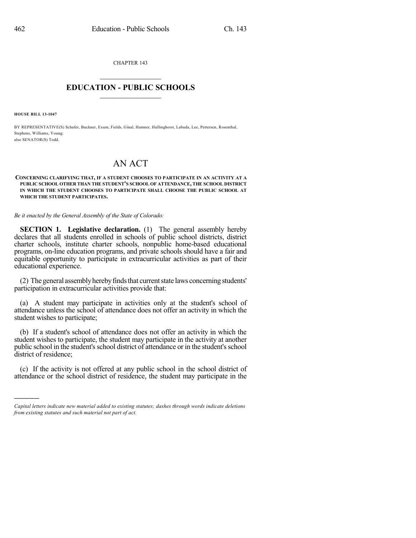CHAPTER 143  $\mathcal{L}_\text{max}$  . The set of the set of the set of the set of the set of the set of the set of the set of the set of the set of the set of the set of the set of the set of the set of the set of the set of the set of the set

## **EDUCATION - PUBLIC SCHOOLS**  $\_$   $\_$   $\_$   $\_$   $\_$   $\_$   $\_$   $\_$   $\_$

**HOUSE BILL 13-1047**

)))))

BY REPRESENTATIVE(S) Schafer, Buckner, Exum, Fields, Ginal, Hamner, Hullinghorst, Labuda, Lee, Pettersen, Rosenthal, Stephens, Williams, Young; also SENATOR(S) Todd.

## AN ACT

## **CONCERNING CLARIFYING THAT, IF A STUDENT CHOOSES TO PARTICIPATE IN AN ACTIVITY AT A PUBLIC SCHOOL OTHER THAN THE STUDENT'S SCHOOL OF ATTENDANCE, THE SCHOOL DISTRICT IN WHICH THE STUDENT CHOOSES TO PARTICIPATE SHALL CHOOSE THE PUBLIC SCHOOL AT WHICH THE STUDENT PARTICIPATES.**

*Be it enacted by the General Assembly of the State of Colorado:*

**SECTION 1. Legislative declaration.** (1) The general assembly hereby declares that all students enrolled in schools of public school districts, district charter schools, institute charter schools, nonpublic home-based educational programs, on-line education programs, and private schools should have a fair and equitable opportunity to participate in extracurricular activities as part of their educational experience.

(2) The general assembly hereby finds that current state laws concerning students' participation in extracurricular activities provide that:

(a) A student may participate in activities only at the student's school of attendance unless the school of attendance does not offer an activity in which the student wishes to participate;

(b) If a student's school of attendance does not offer an activity in which the student wishes to participate, the student may participate in the activity at another public school in the student's school district of attendance or in the student's school district of residence;

(c) If the activity is not offered at any public school in the school district of attendance or the school district of residence, the student may participate in the

*Capital letters indicate new material added to existing statutes; dashes through words indicate deletions from existing statutes and such material not part of act.*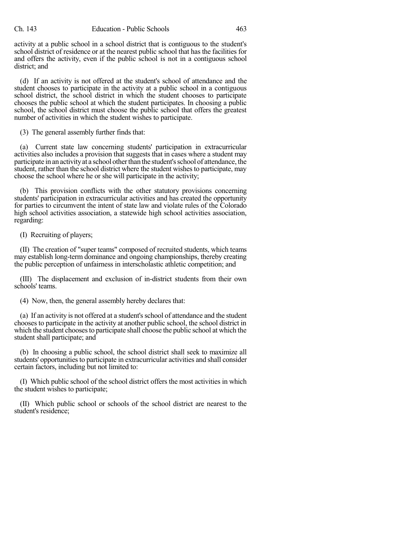activity at a public school in a school district that is contiguous to the student's school district of residence or at the nearest public school that has the facilities for and offers the activity, even if the public school is not in a contiguous school district; and

(d) If an activity is not offered at the student's school of attendance and the student chooses to participate in the activity at a public school in a contiguous school district, the school district in which the student chooses to participate chooses the public school at which the student participates. In choosing a public school, the school district must choose the public school that offers the greatest number of activities in which the student wishes to participate.

(3) The general assembly further finds that:

(a) Current state law concerning students' participation in extracurricular activities also includes a provision that suggests that in cases where a student may participate in an activity at a school other than the student's school of attendance, the student, rather than the school district where the student wishes to participate, may choose the school where he or she will participate in the activity;

(b) This provision conflicts with the other statutory provisions concerning students' participation in extracurricular activities and has created the opportunity for parties to circumvent the intent of state law and violate rules of the Colorado high school activities association, a statewide high school activities association, regarding:

(I) Recruiting of players;

(II) The creation of "super teams" composed of recruited students, which teams may establish long-term dominance and ongoing championships, thereby creating the public perception of unfairness in interscholastic athletic competition; and

(III) The displacement and exclusion of in-district students from their own schools' teams.

(4) Now, then, the general assembly hereby declares that:

(a) If an activity is not offered at a student'sschool of attendance and the student chooses to participate in the activity at another public school, the school district in which the student chooses to participate shall choose the public school at which the student shall participate; and

(b) In choosing a public school, the school district shall seek to maximize all students' opportunities to participate in extracurricular activities and shall consider certain factors, including but not limited to:

(I) Which public school of the school district offers the most activities in which the student wishes to participate;

(II) Which public school or schools of the school district are nearest to the student's residence;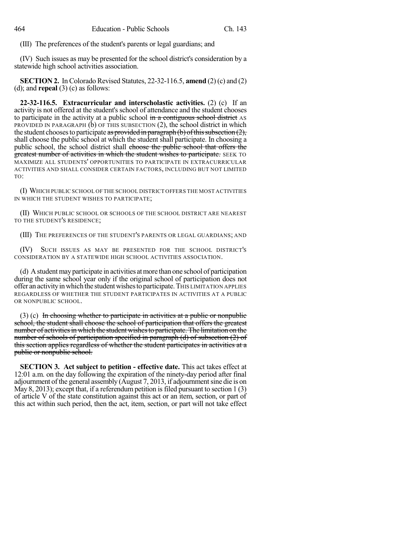(III) The preferences of the student's parents or legal guardians; and

(IV) Such issues as may be presented for the school district's consideration by a statewide high school activities association.

**SECTION 2.** In Colorado Revised Statutes, 22-32-116.5, **amend** (2) (c) and (2) (d); and **repeal** (3) (c) as follows:

**22-32-116.5. Extracurricular and interscholastic activities.** (2) (c) If an activity is not offered at the student's school of attendance and the student chooses to participate in the activity at a public school in a contiguous school district AS PROVIDED IN PARAGRAPH (b) OF THIS SUBSECTION (2), the school district in which the student chooses to participate as provided in paragraph (b) of this subsection  $(2)$ , shall choose the public school at which the student shall participate. In choosing a public school, the school district shall choose the public school that offers the greatest number of activities in which the student wishes to participate. SEEK TO MAXIMIZE ALL STUDENTS' OPPORTUNITIES TO PARTICIPATE IN EXTRACURRICULAR ACTIVITIES AND SHALL CONSIDER CERTAIN FACTORS, INCLUDING BUT NOT LIMITED TO:

(I) WHICH PUBLIC SCHOOL OF THE SCHOOL DISTRICT OFFERS THE MOST ACTIVITIES IN WHICH THE STUDENT WISHES TO PARTICIPATE;

(II) WHICH PUBLIC SCHOOL OR SCHOOLS OF THE SCHOOL DISTRICT ARE NEAREST TO THE STUDENT'S RESIDENCE;

(III) THE PREFERENCES OF THE STUDENT'S PARENTS OR LEGAL GUARDIANS; AND

(IV) SUCH ISSUES AS MAY BE PRESENTED FOR THE SCHOOL DISTRICT'S CONSIDERATION BY A STATEWIDE HIGH SCHOOL ACTIVITIES ASSOCIATION.

(d) A student may participate in activities at more than one school of participation during the same school year only if the original school of participation does not offer an activityinwhich the studentwishestoparticipate.THIS LIMITATION APPLIES REGARDLESS OF WHETHER THE STUDENT PARTICIPATES IN ACTIVITIES AT A PUBLIC OR NONPUBLIC SCHOOL.

(3) (c) In choosing whether to participate in activities at a public or nonpublic school, the student shall choose the school of participation that offers the greatest number of activities in which the student wishes to participate. The limitation on the number of schools of participation specified in paragraph (d) of subsection (2) of this section applies regardless of whether the student participates in activities at a public or nonpublic school.

**SECTION 3. Act subject to petition - effective date.** This act takes effect at 12:01 a.m. on the day following the expiration of the ninety-day period after final adjournment of the general assembly (August 7, 2013, if adjournmentsine die is on May 8, 2013); except that, if a referendum petition is filed pursuant to section  $1(3)$ of article V of the state constitution against this act or an item, section, or part of this act within such period, then the act, item, section, or part will not take effect